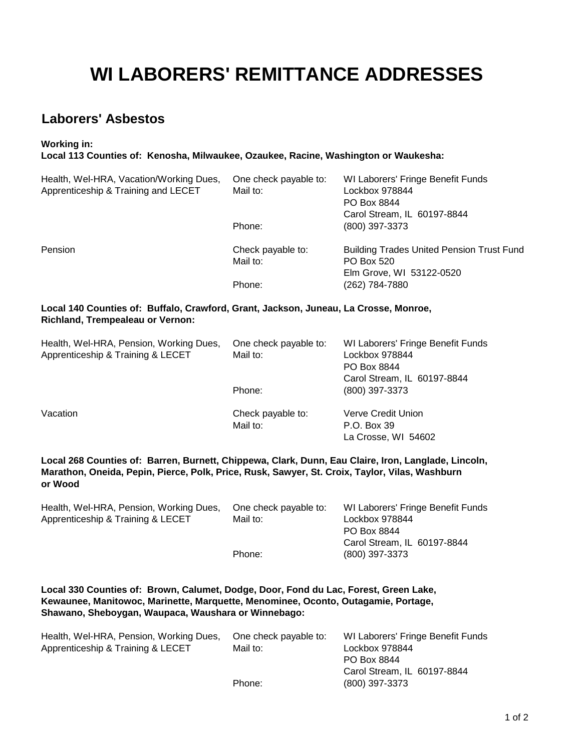# **WI LABORERS' REMITTANCE ADDRESSES**

### **Laborers' Asbestos**

#### **Working in:**

**Local 113 Counties of: Kenosha, Milwaukee, Ozaukee, Racine, Washington or Waukesha:**

| Health, Wel-HRA, Vacation/Working Dues,<br>Apprenticeship & Training and LECET                                                                                                                                                   | One check payable to:<br>Mail to:<br>Phone:                              | WI Laborers' Fringe Benefit Funds<br>Lockbox 978844<br>PO Box 8844<br>Carol Stream, IL 60197-8844<br>(800) 397-3373 |
|----------------------------------------------------------------------------------------------------------------------------------------------------------------------------------------------------------------------------------|--------------------------------------------------------------------------|---------------------------------------------------------------------------------------------------------------------|
| Pension                                                                                                                                                                                                                          | Check payable to:<br>Mail to:<br>Phone:                                  | <b>Building Trades United Pension Trust Fund</b><br><b>PO Box 520</b><br>Elm Grove, WI 53122-0520<br>(262) 784-7880 |
| Local 140 Counties of: Buffalo, Crawford, Grant, Jackson, Juneau, La Crosse, Monroe,<br>Richland, Trempealeau or Vernon:                                                                                                         |                                                                          |                                                                                                                     |
| Health, Wel-HRA, Pension, Working Dues,<br>Apprenticeship & Training & LECET                                                                                                                                                     | One check payable to:<br>Mail to:                                        | WI Laborers' Fringe Benefit Funds<br>Lockbox 978844<br>PO Box 8844                                                  |
|                                                                                                                                                                                                                                  | Phone:                                                                   | Carol Stream, IL 60197-8844<br>(800) 397-3373                                                                       |
| Vacation                                                                                                                                                                                                                         | Check payable to:<br>Mail to:                                            | Verve Credit Union<br>P.O. Box 39<br>La Crosse, WI 54602                                                            |
| Local 268 Counties of: Barren, Burnett, Chippewa, Clark, Dunn, Eau Claire, Iron, Langlade, Lincoln,<br>Marathon, Oneida, Pepin, Pierce, Polk, Price, Rusk, Sawyer, St. Croix, Taylor, Vilas, Washburn<br>or Wood                 |                                                                          |                                                                                                                     |
| Health, Wel-HRA, Pension, Working Dues,<br>Apprenticeship & Training & LECET                                                                                                                                                     | One check payable to:<br>Mail to:                                        | WI Laborers' Fringe Benefit Funds<br>Lockbox 978844<br>PO Box 8844<br>Carol Stream, IL 60197-8844                   |
|                                                                                                                                                                                                                                  | Phone:                                                                   | (800) 397-3373                                                                                                      |
| Local 330 Counties of: Brown, Calumet, Dodge, Door, Fond du Lac, Forest, Green Lake,<br>Kewaunee, Manitowoc, Marinette, Marquette, Menominee, Oconto, Outagamie, Portage,<br>Shawano, Sheboygan, Waupaca, Waushara or Winnebago: | the contract of the contract of the<br>the company of the company of the |                                                                                                                     |

| Health, Wel-HRA, Pension, Working Dues, | One check payable to: | WI Laborers' Fringe Benefit Funds |
|-----------------------------------------|-----------------------|-----------------------------------|
| Apprenticeship & Training & LECET       | Mail to:              | Lockbox 978844                    |
|                                         |                       | PO Box 8844                       |
|                                         |                       | Carol Stream. IL 60197-8844       |
|                                         | Phone:                | $(800)$ 397-3373                  |